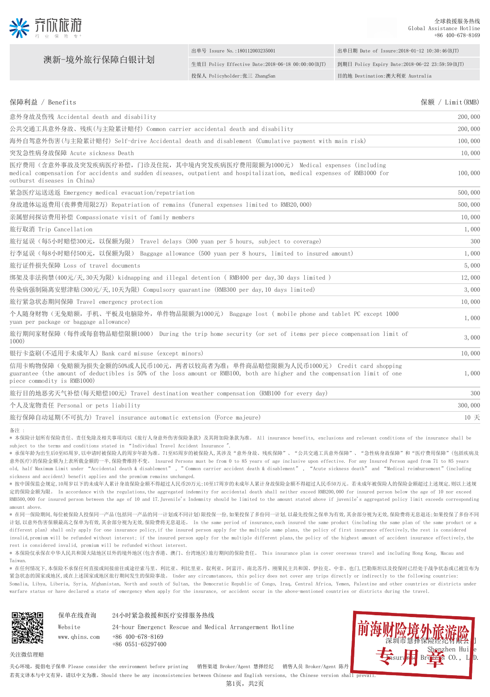

澳新-境外旅行保障白银计划

## 出单号 Issure No.:180112003235001 出单日期 Date of Issure:2018-01-12 10:30:46(BJT) 生效日 Policy Effective Date:2018-06-18 00:00:00(BJT) 到期日 Policy Expiry Date:2018-06-22 23:59:59(BJT) 投保人 Policyholder:张三 ZhangSan 目的地 Destination:澳大利亚 Australia

| 意外身故及伤残 Accidental death and disability                                                                                                                                                                                              |         |  |
|--------------------------------------------------------------------------------------------------------------------------------------------------------------------------------------------------------------------------------------|---------|--|
| 公共交通工具意外身故、残疾(与主险累计赔付)Common carrier accidental death and disability                                                                                                                                                                 | 200,000 |  |
| 海外自驾意外伤害(与主险累计赔付) Self-drive Accidental death and disablement (Cumulative payment with main risk)                                                                                                                                    | 100,000 |  |
| 突发急性病身故保障 Acute sickness Death                                                                                                                                                                                                       | 10,000  |  |
| 医疗费用(含意外事故及突发疾病医疗补偿,门诊及住院,其中境内突发疾病医疗费用限额为1000元) Medical expenses(including<br>medical compensation for accidents and sudden diseases, outpatient and hospitalization, medical expenses of RMB1000 for<br>outburst diseases in China) | 100,000 |  |
| 紧急医疗运送送返 Emergency medical evacuation/repatriation                                                                                                                                                                                   | 500,000 |  |
| 身故遗体运返费用(丧葬费用限2万) Repatriation of remains (funeral expenses limited to RMB20,000)                                                                                                                                                    | 500,000 |  |
| 亲属慰问探访费用补偿 Compassionate visit of family members                                                                                                                                                                                     | 10,000  |  |
| 旅行取消 Trip Cancellation                                                                                                                                                                                                               | 1,000   |  |
| 旅行延误(每5小时赔偿300元,以保额为限) Travel delays(300 yuan per 5 hours,subject to coverage)                                                                                                                                                       | 300     |  |
| 行李延误(每8小时赔付500元,以保额为限) Baggage allowance(500 yuan per 8 hours,limited to insured amount)                                                                                                                                             | 1,000   |  |
| 旅行证件损失保障 Loss of travel documents                                                                                                                                                                                                    | 5,000   |  |
| 绑架及非法拘禁(400元/天,30天为限) kidnapping and illegal detention ( RMB400 per day,30 days limited )                                                                                                                                            | 12,000  |  |
| 传染病强制隔离安慰津贴(300元/天,10天为限) Compulsory quarantine (RMB300 per day,10 days limited)                                                                                                                                                     | 3,000   |  |
| 旅行紧急状态期间保障 Travel emergency protection                                                                                                                                                                                               | 10,000  |  |
| 个人随身财物(无免赔额,手机、平板及电脑除外,单件物品限额为1000元) Baggage lost ( mobile phone and tablet PC except 1000<br>yuan per package or baggage allowance)                                                                                                 | 1,000   |  |
| 旅行期间家财保障(每件或每套物品赔偿限额1000) During the trip home security (or set of items per piece compensation limit of<br>1000)                                                                                                                    | 3,000   |  |

保障利益 / Benefits インタントン インタントリック 保険 / Limit(RMB)

银行卡盗刷(不适用于未成年人) Bank card misuse (except minors) 2008年 - 2008年 - 2008年 - 2008年 - 2008年 - 2008年 - 2009年 - 2008年 - 200

信用卡购物保障(免赔额为损失金额的50%或人民币100元,两者以较高者为准;单件商品赔偿限额为人民币1000元) Credit card shopping guarantee (the amount of deductibles is 50% of the loss amount or RMB100, both are higher and the compensation limit of one piece commodity is RMB1000)

旅行目的地恶劣天气补偿(每天赔偿100元) Travel destination weather compensation (RMB100 for every day) 300 个人及宠物责任 Personal or pets liability 300,000 and the set of the set of the set of the set of the set of the set of the set of the set of the set of the set of the set of the set of the set of the set of the set of the set o

旅行保障自动延期(不可抗力) Travel insurance automatic extension (Force majeure) 10 天

备注 :

\* 本保险计划所有保险责任、责任免除及相关事项均以《旅行人身意外伤害保险条款》及其附加险条款为准。 All insurance benefits, exclusions and relevant conditions of the insurance shall be subject to the terms and conditions stated in "Individual Travel Accident Insurance "

\* 承保年龄为出生后0至85周岁,以申请时被保险人的周岁年龄为准。71至85周岁的被保险人,其涉及"意外身故、残疾保障"、"公共交通工具意外保障"、"急性病身故保障"和"医疗费用保障"(包括疾病及 意外医疗)的保险金额为上表所载金额的一半,保险费维持不变。 Insured Persons must be from 0 to 85 years of age inclusive upon effective. For any Insured Person aged from 71 to 85 years old, half Maximum Limit under "Accidental death & disablement" , "Common carrier accident death & disablement" , "Acute sickness death" and "Medical reimbursement"(including sickness and accident) benefit applies and the premium remains unchanged.

\* 按中国保监会规定,10周岁以下的未成年人累计身故保险金额不得超过人民币20万元;10至17周岁的未成年人累计身故保险金额不得超过人民币50万元。若未成年被保险人的保险金额超过上述规定,则以上述规 定的保险金额为限。 In accordance with the regulations, the aggregated indemnity for accidental death shall neither exceed RMB200,000 for insured person below the age of 10 nor exceed RMB500,000 for insured person between the age of 10 and 17.Juvenile's Indemnity should be limited to the amount stated above if juvenile's aggregated policy limit exceeds corresponding amount above.

\* 在同一保险期间,每位被保险人投保同一产品(包括同一产品的同一计划或不同计划)限投保一份,如果投保了多份同一计划,以最先投保之保单为有效,其余部分视为无效,保险费将无息退还;如果投保了多份不同 计划,以意外伤害保额最高之保单为有效,其余部分视为无效,保险费将无息退还。 In the same period of insurance,each insured the same product (including the same plan of the same product or a different plan) shall only apply for one insurance policy, if the insured person apply for the multiple same plans, the policy of first insurance effectively, the rest is considered invalid,premium will be refunded without interest; if the insured person apply for the multiple different plans,the policy of the highest amount of accident insurance effectively,the rest is considered invalid, premium will be refunded without interest.

\* 本保险仅承保在中华人民共和国大陆地区以外的境外地区(包含香港、澳门、台湾地区)旅行期间的保险责任。 This insurance plan is cover overseas travel and including Hong Kong, Macau and Taiwan.

\* 在任何情况下,本保险不承保任何直接或间接前往或途径索马里、利比亚、利比里亚、叙利亚、阿富汗、南北苏丹、刚果民主共和国、伊拉克、中非、也门,巴勒斯坦以及投保时已经处于战争状态或已被宣布为 紧急状态的国家或地区,或在上述国家或地区旅行期间发生的保险事故。 Under any circumstances, this policy does not cover any trips directly or indirectly to the following countries: Somalia, Libya, Liberia, Syria, Afghanistan, North and south of Sultan, the Democratic Republic of Congo, Iraq, Central Africa, Yemen, Palestine and other countries or districts under warfare status or have declared a state of emergency when apply for the insurance, or accident occur in the above-mentioned countries or districts during the travel.



Website www.qhins.com

24小时紧急救援和医疗安排服务热线 保单在线查询

> 24-hour Emergenct Rescue and Medical Arrangerment Hotline +86 400-678-8169 +86 0551-65297400



1,000

关注微信理赔

关心环境,提倡电子保单 Please consider the environment before printing 销售渠道 Broker/Agent 慧择经纪 销售人员 Broker/Agent 陈丹 ..

. 若英文译本与中文有异,请以中文为准。Should there be any inconsistencies between Chinese and English versions, the Chinese version shall prevail.